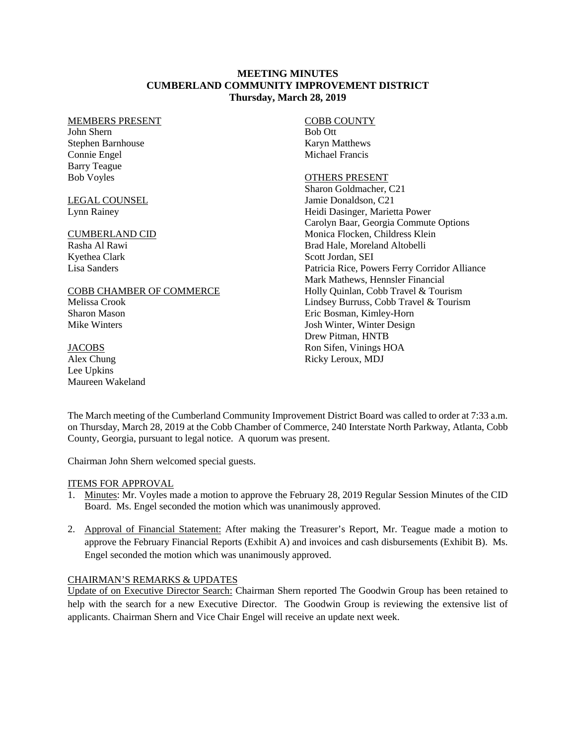# **MEETING MINUTES CUMBERLAND COMMUNITY IMPROVEMENT DISTRICT Thursday, March 28, 2019**

#### MEMBERS PRESENT

John Shern Stephen Barnhouse Connie Engel Barry Teague Bob Voyles

### LEGAL COUNSEL Lynn Rainey

# CUMBERLAND CID

Rasha Al Rawi Kyethea Clark Lisa Sanders

#### COBB CHAMBER OF COMMERCE

Melissa Crook Sharon Mason Mike Winters

#### **JACOBS** Alex Chung Lee Upkins

Maureen Wakeland

# COBB COUNTY Bob Ott

Karyn Matthews Michael Francis

# OTHERS PRESENT

Sharon Goldmacher, C21 Jamie Donaldson, C21 Heidi Dasinger, Marietta Power Carolyn Baar, Georgia Commute Options Monica Flocken, Childress Klein Brad Hale, Moreland Altobelli Scott Jordan, SEI Patricia Rice, Powers Ferry Corridor Alliance Mark Mathews, Hennsler Financial Holly Quinlan, Cobb Travel & Tourism Lindsey Burruss, Cobb Travel & Tourism Eric Bosman, Kimley-Horn Josh Winter, Winter Design Drew Pitman, HNTB Ron Sifen, Vinings HOA Ricky Leroux, MDJ

The March meeting of the Cumberland Community Improvement District Board was called to order at 7:33 a.m. on Thursday, March 28, 2019 at the Cobb Chamber of Commerce, 240 Interstate North Parkway, Atlanta, Cobb County, Georgia, pursuant to legal notice. A quorum was present.

Chairman John Shern welcomed special guests.

# ITEMS FOR APPROVAL

- 1. Minutes: Mr. Voyles made a motion to approve the February 28, 2019 Regular Session Minutes of the CID Board. Ms. Engel seconded the motion which was unanimously approved.
- 2. Approval of Financial Statement: After making the Treasurer's Report, Mr. Teague made a motion to approve the February Financial Reports (Exhibit A) and invoices and cash disbursements (Exhibit B). Ms. Engel seconded the motion which was unanimously approved.

# CHAIRMAN'S REMARKS & UPDATES

Update of on Executive Director Search: Chairman Shern reported The Goodwin Group has been retained to help with the search for a new Executive Director. The Goodwin Group is reviewing the extensive list of applicants. Chairman Shern and Vice Chair Engel will receive an update next week.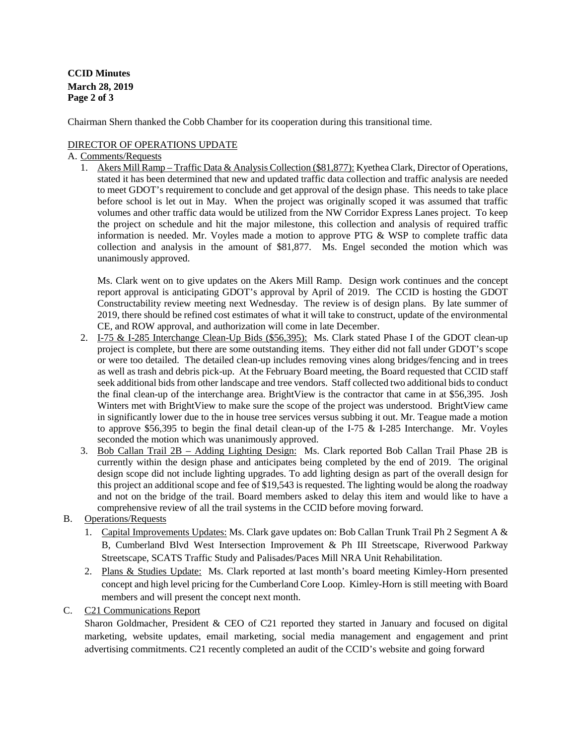**CCID Minutes March 28, 2019 Page 2 of 3** 

Chairman Shern thanked the Cobb Chamber for its cooperation during this transitional time.

# DIRECTOR OF OPERATIONS UPDATE

# A. Comments/Requests

1. Akers Mill Ramp – Traffic Data & Analysis Collection (\$81,877): Kyethea Clark, Director of Operations, stated it has been determined that new and updated traffic data collection and traffic analysis are needed to meet GDOT's requirement to conclude and get approval of the design phase. This needs to take place before school is let out in May. When the project was originally scoped it was assumed that traffic volumes and other traffic data would be utilized from the NW Corridor Express Lanes project. To keep the project on schedule and hit the major milestone, this collection and analysis of required traffic information is needed. Mr. Voyles made a motion to approve PTG  $&$  WSP to complete traffic data collection and analysis in the amount of \$81,877. Ms. Engel seconded the motion which was unanimously approved.

Ms. Clark went on to give updates on the Akers Mill Ramp. Design work continues and the concept report approval is anticipating GDOT's approval by April of 2019. The CCID is hosting the GDOT Constructability review meeting next Wednesday. The review is of design plans. By late summer of 2019, there should be refined cost estimates of what it will take to construct, update of the environmental CE, and ROW approval, and authorization will come in late December.

- 2. I-75 & I-285 Interchange Clean-Up Bids (\$56,395): Ms. Clark stated Phase I of the GDOT clean-up project is complete, but there are some outstanding items. They either did not fall under GDOT's scope or were too detailed. The detailed clean-up includes removing vines along bridges/fencing and in trees as well as trash and debris pick-up. At the February Board meeting, the Board requested that CCID staff seek additional bids from other landscape and tree vendors. Staff collected two additional bids to conduct the final clean-up of the interchange area. BrightView is the contractor that came in at \$56,395. Josh Winters met with BrightView to make sure the scope of the project was understood. BrightView came in significantly lower due to the in house tree services versus subbing it out. Mr. Teague made a motion to approve \$56,395 to begin the final detail clean-up of the I-75  $\&$  I-285 Interchange. Mr. Voyles seconded the motion which was unanimously approved.
- 3. Bob Callan Trail 2B Adding Lighting Design: Ms. Clark reported Bob Callan Trail Phase 2B is currently within the design phase and anticipates being completed by the end of 2019. The original design scope did not include lighting upgrades. To add lighting design as part of the overall design for this project an additional scope and fee of \$19,543 is requested. The lighting would be along the roadway and not on the bridge of the trail. Board members asked to delay this item and would like to have a comprehensive review of all the trail systems in the CCID before moving forward.
- B. Operations/Requests
	- 1. Capital Improvements Updates: Ms. Clark gave updates on: Bob Callan Trunk Trail Ph 2 Segment A & B, Cumberland Blvd West Intersection Improvement & Ph III Streetscape, Riverwood Parkway Streetscape, SCATS Traffic Study and Palisades/Paces Mill NRA Unit Rehabilitation.
	- 2. Plans & Studies Update: Ms. Clark reported at last month's board meeting Kimley-Horn presented concept and high level pricing for the Cumberland Core Loop. Kimley-Horn is still meeting with Board members and will present the concept next month.
- C. C21 Communications Report

Sharon Goldmacher, President & CEO of C21 reported they started in January and focused on digital marketing, website updates, email marketing, social media management and engagement and print advertising commitments. C21 recently completed an audit of the CCID's website and going forward